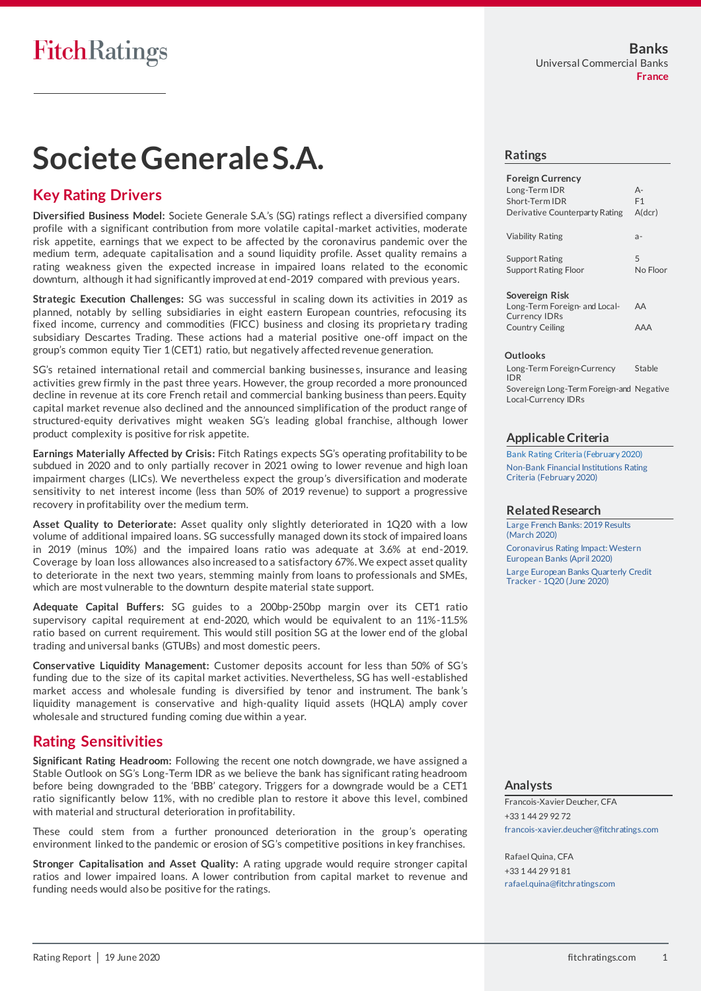# **Societe Generale S.A.**

## **Key Rating Drivers**

**Diversified Business Model:** Societe Generale S.A.'s (SG) ratings reflect a diversified company profile with a significant contribution from more volatile capital-market activities, moderate risk appetite, earnings that we expect to be affected by the coronavirus pandemic over the medium term, adequate capitalisation and a sound liquidity profile. Asset quality remains a rating weakness given the expected increase in impaired loans related to the economic downturn, although it had significantly improved at end-2019 compared with previous years.

**Strategic Execution Challenges:** SG was successful in scaling down its activities in 2019 as planned, notably by selling subsidiaries in eight eastern European countries, refocusing its fixed income, currency and commodities (FICC) business and closing its proprieta ry trading subsidiary Descartes Trading. These actions had a material positive one-off impact on the group's common equity Tier 1 (CET1) ratio, but negatively affected revenue generation.

SG's retained international retail and commercial banking businesses, insurance and leasing activities grew firmly in the past three years. However, the group recorded a more pronounced decline in revenue at its core French retail and commercial banking business than peers. Equity capital market revenue also declined and the announced simplification of the product range of structured-equity derivatives might weaken SG's leading global franchise, although lower product complexity is positive for risk appetite.

**Earnings Materially Affected by Crisis:** Fitch Ratings expects SG's operating profitability to be subdued in 2020 and to only partially recover in 2021 owing to lower revenue and high loan impairment charges (LICs). We nevertheless expect the group's diversification and moderate sensitivity to net interest income (less than 50% of 2019 revenue) to support a progressive recovery in profitability over the medium term.

**Asset Quality to Deteriorate:** Asset quality only slightly deteriorated in 1Q20 with a low volume of additional impaired loans. SG successfully managed down its stock of impaired loans in 2019 (minus 10%) and the impaired loans ratio was adequate at 3.6% at end-2019. Coverage by loan loss allowances also increased to a satisfactory 67%. We expect asset quality to deteriorate in the next two years, stemming mainly from loans to professionals and SMEs, which are most vulnerable to the downturn despite material state support.

**Adequate Capital Buffers:** SG guides to a 200bp-250bp margin over its CET1 ratio supervisory capital requirement at end-2020, which would be equivalent to an 11%-11.5% ratio based on current requirement. This would still position SG at the lower end of the global trading and universal banks (GTUBs) and most domestic peers.

**Conservative Liquidity Management:** Customer deposits account for less than 50% of SG's funding due to the size of its capital market activities. Nevertheless, SG has well-established market access and wholesale funding is diversified by tenor and instrument. The bank 's liquidity management is conservative and high-quality liquid assets (HQLA) amply cover wholesale and structured funding coming due within a year.

## **Rating Sensitivities**

**Significant Rating Headroom:** Following the recent one notch downgrade, we have assigned a Stable Outlook on SG's Long-Term IDR as we believe the bank has significant rating headroom before being downgraded to the 'BBB' category. Triggers for a downgrade would be a CET1 ratio significantly below 11%, with no credible plan to restore it above this level, combined with material and structural deterioration in profitability.

These could stem from a further pronounced deterioration in the group's operating environment linked to the pandemic or erosion of SG's competitive positions in key franchises.

**Stronger Capitalisation and Asset Quality:** A rating upgrade would require stronger capital ratios and lower impaired loans. A lower contribution from capital market to revenue and funding needs would also be positive for the ratings.

### **Ratings**

| <b>Foreign Currency</b>                               |          |
|-------------------------------------------------------|----------|
| Long-Term IDR                                         | $A -$    |
| Short-Term IDR                                        | F1       |
| Derivative Counterparty Rating                        | A(dcr)   |
| <b>Viability Rating</b>                               | $a -$    |
| <b>Support Rating</b>                                 | 5        |
| <b>Support Rating Floor</b>                           | No Floor |
| Sovereign Risk                                        |          |
| Long-Term Foreign- and Local-<br><b>Currency IDRs</b> | AA       |
|                                                       |          |
| <b>Country Ceiling</b>                                | AAA      |

#### **Outlooks**

Long-Term Foreign-Currency IDR Stable Sovereign Long-Term Foreign-and Negative Local-Currency IDRs

### **Applicable Criteria**

[Bank Rating Criteria \(February 2020\)](https://app.fitchconnect.com/search/research/article/RPT_10110041) [Non-Bank Financial Institutions Rating](https://app.fitchconnect.com/search/research/article/RPT_10110170)  [Criteria \(February 2020\)](https://app.fitchconnect.com/search/research/article/RPT_10110170)

#### **Related Research**

[Large French Banks: 2019 Results](https://app.fitchconnect.com/search/research/article/RPT_10113849)  [\(March 2020\)](https://app.fitchconnect.com/search/research/article/RPT_10113849) [Coronavirus Rating Impact: Western](https://app.fitchconnect.com/search/research/article/RPT_10117975)  [European Banks \(April 2020\)](https://app.fitchconnect.com/search/research/article/RPT_10117975) [Large European Banks Quarterly Credit](https://app.fitchconnect.com/search/research/article/RPT_10124722)  Tracker - [1Q20 \(June 2020\)](https://app.fitchconnect.com/search/research/article/RPT_10124722)

#### **Analysts**

Francois-Xavier Deucher, CFA +33 1 44 29 92 72 [francois-xavier.deucher@fitchratings.com](mailto:francois-xavier.deucher@fitchratings.com)

Rafael Quina, CFA +33 1 44 29 91 81 [rafael.quina@fitchratings.com](mailto:rafael.quina@fitchratings.com)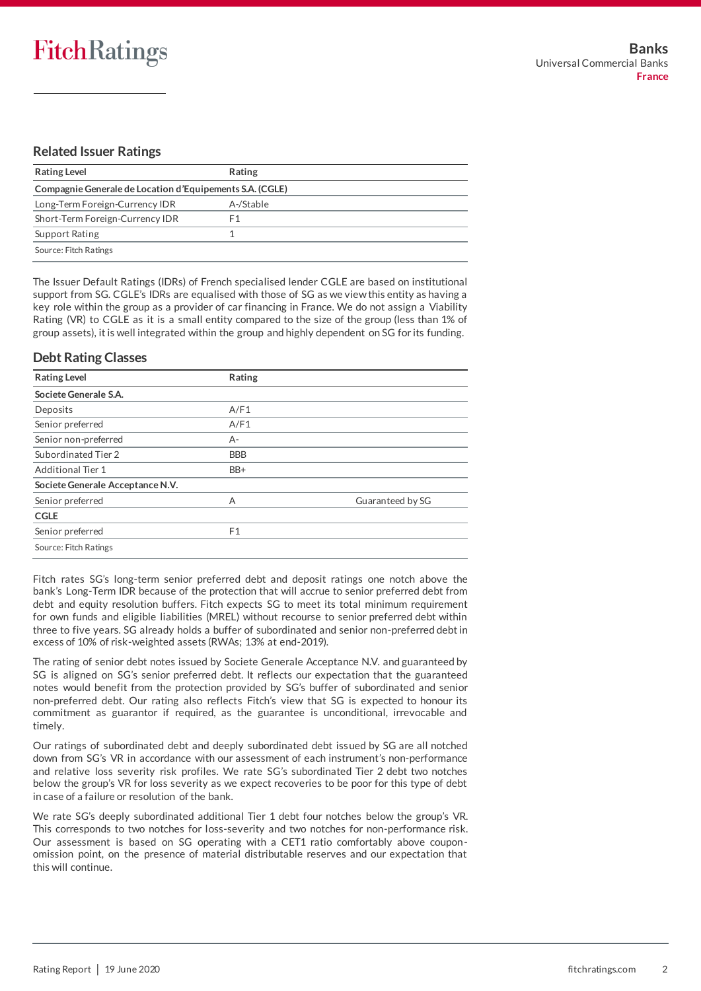## **Related Issuer Ratings**

| <b>Rating Level</b>                                      | Rating    |  |  |
|----------------------------------------------------------|-----------|--|--|
| Compagnie Generale de Location d'Equipements S.A. (CGLE) |           |  |  |
| Long-Term Foreign-Currency IDR                           | A-/Stable |  |  |
| Short-Term Foreign-Currency IDR                          | F1        |  |  |
| <b>Support Rating</b>                                    |           |  |  |
| Source: Fitch Ratings                                    |           |  |  |

The Issuer Default Ratings (IDRs) of French specialised lender CGLE are based on institutional support from SG. CGLE's IDRs are equalised with those of SG as we view this entity as having a key role within the group as a provider of car financing in France. We do not assign a Viability Rating (VR) to CGLE as it is a small entity compared to the size of the group (less than 1% of group assets), it is well integrated within the group and highly dependent on SG for its funding.

## **Debt Rating Classes**

| <b>Rating Level</b>              | Rating     |                  |
|----------------------------------|------------|------------------|
| Societe Generale S.A.            |            |                  |
| Deposits                         | A/F1       |                  |
| Senior preferred                 | A/F1       |                  |
| Senior non-preferred             | $A -$      |                  |
| Subordinated Tier 2              | <b>BBB</b> |                  |
| <b>Additional Tier 1</b>         | BB+        |                  |
| Societe Generale Acceptance N.V. |            |                  |
| Senior preferred                 | А          | Guaranteed by SG |
| <b>CGLE</b>                      |            |                  |
| Senior preferred                 | F1         |                  |
| Source: Fitch Ratings            |            |                  |

Fitch rates SG's long-term senior preferred debt and deposit ratings one notch above the bank's Long-Term IDR because of the protection that will accrue to senior preferred debt from debt and equity resolution buffers. Fitch expects SG to meet its total minimum requirement for own funds and eligible liabilities (MREL) without recourse to senior preferred debt within three to five years. SG already holds a buffer of subordinated and senior non-preferred debt in excess of 10% of risk-weighted assets (RWAs; 13% at end-2019).

The rating of senior debt notes issued by Societe Generale Acceptance N.V. and guaranteed by SG is aligned on SG's senior preferred debt. It reflects our expectation that the guaranteed notes would benefit from the protection provided by SG's buffer of subordinated and senior non-preferred debt. Our rating also reflects Fitch's view that SG is expected to honour its commitment as guarantor if required, as the guarantee is unconditional, irrevocable and timely.

Our ratings of subordinated debt and deeply subordinated debt issued by SG are all notched down from SG's VR in accordance with our assessment of each instrument's non-performance and relative loss severity risk profiles. We rate SG's subordinated Tier 2 debt two notches below the group's VR for loss severity as we expect recoveries to be poor for this type of debt in case of a failure or resolution of the bank.

We rate SG's deeply subordinated additional Tier 1 debt four notches below the group's VR. This corresponds to two notches for loss-severity and two notches for non-performance risk. Our assessment is based on SG operating with a CET1 ratio comfortably above couponomission point, on the presence of material distributable reserves and our expectation that this will continue.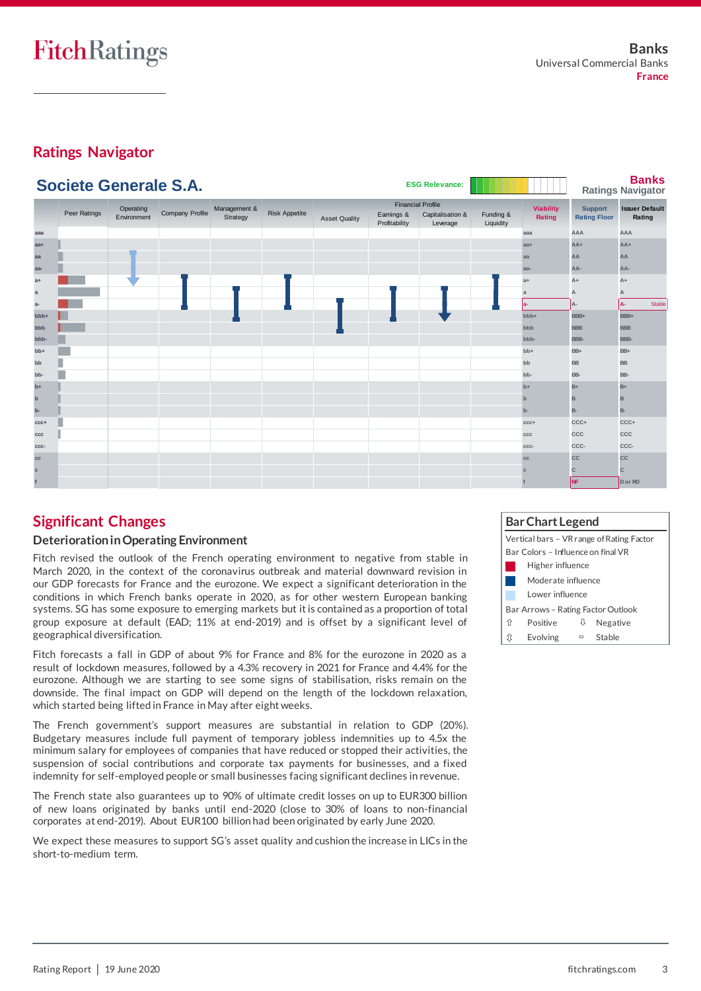## **Ratings Navigator**



## **Significant Changes**

## **Deterioration in Operating Environment**

Fitch revised the outlook of the French operating environment to negative from stable in March 2020, in the context of the coronavirus outbreak and material downward revision in our GDP forecasts for France and the eurozone. We expect a significant deterioration in the conditions in which French banks operate in 2020, as for other western European banking systems. SG has some exposure to emerging markets but it is contained as a proportion of total group exposure at default (EAD; 11% at end-2019) and is offset by a significant level of geographical diversification.

Fitch forecasts a fall in GDP of about 9% for France and 8% for the eurozone in 2020 as a result of lockdown measures, followed by a 4.3% recovery in 2021 for France and 4.4% for the eurozone. Although we are starting to see some signs of stabilisation, risks remain on the downside. The final impact on GDP will depend on the length of the lockdown relaxation, which started being lifted in France in May after eight weeks.

The French government's support measures are substantial in relation to GDP (20%). Budgetary measures include full payment of temporary jobless indemnities up to 4.5x the minimum salary for employees of companies that have reduced or stopped their activities, the suspension of social contributions and corporate tax payments for businesses, and a fixed indemnity for self-employed people or small businesses facing significant declines in revenue.

The French state also guarantees up to 90% of ultimate credit losses on up to EUR300 billion of new loans originated by banks until end-2020 (close to 30% of loans to non-financial corporates at end-2019). About EUR100 billion had been originated by early June 2020.

We expect these measures to support SG's asset quality and cushion the increase in LICs in the short-to-medium term.

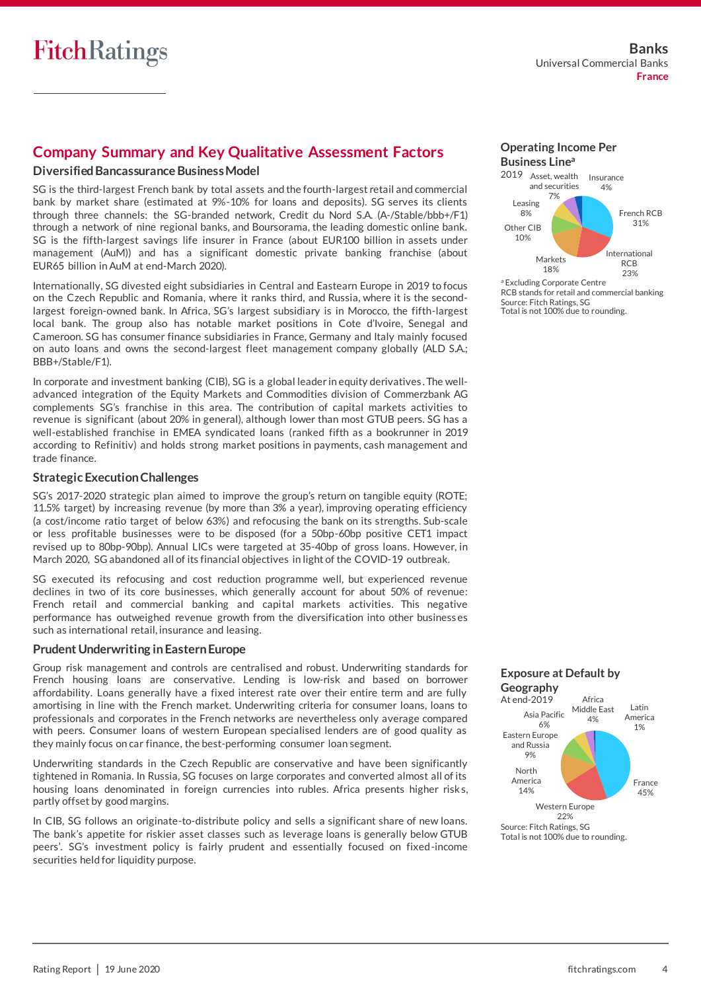## **Company Summary and Key Qualitative Assessment Factors**

### **Diversified Bancassurance Business Model**

SG is the third-largest French bank by total assets and the fourth-largest retail and commercial bank by market share (estimated at 9%-10% for loans and deposits). SG serves its clients through three channels: the SG-branded network, Credit du Nord S.A. (A-/Stable/bbb+/F1) through a network of nine regional banks, and Boursorama, the leading domestic online bank. SG is the fifth-largest savings life insurer in France (about EUR100 billion in assets under management (AuM)) and has a significant domestic private banking franchise (about EUR65 billion in AuM at end-March 2020).

Internationally, SG divested eight subsidiaries in Central and Eastearn Europe in 2019 to focus on the Czech Republic and Romania, where it ranks third, and Russia, where it is the secondlargest foreign-owned bank. In Africa, SG's largest subsidiary is in Morocco, the fifth-largest local bank. The group also has notable market positions in Cote d'Ivoire, Senegal and Cameroon. SG has consumer finance subsidiaries in France, Germany and Italy mainly focused on auto loans and owns the second-largest fleet management company globally (ALD S.A.; BBB+/Stable/F1).

In corporate and investment banking (CIB), SG is a global leader in equity derivatives . The welladvanced integration of the Equity Markets and Commodities division of Commerzbank AG complements SG's franchise in this area. The contribution of capital markets activities to revenue is significant (about 20% in general), although lower than most GTUB peers. SG has a well-established franchise in EMEA syndicated loans (ranked fifth as a bookrunner in 2019 according to Refinitiv) and holds strong market positions in payments, cash management and trade finance.

### **Strategic Execution Challenges**

SG's 2017-2020 strategic plan aimed to improve the group's return on tangible equity (ROTE; 11.5% target) by increasing revenue (by more than 3% a year), improving operating efficiency (a cost/income ratio target of below 63%) and refocusing the bank on its strengths. Sub-scale or less profitable businesses were to be disposed (for a 50bp-60bp positive CET1 impact revised up to 80bp-90bp). Annual LICs were targeted at 35-40bp of gross loans. However, in March 2020, SG abandoned all of its financial objectives in light of the COVID-19 outbreak.

SG executed its refocusing and cost reduction programme well, but experienced revenue declines in two of its core businesses, which generally account for about 50% of revenue: French retail and commercial banking and capital markets activities. This negative performance has outweighed revenue growth from the diversification into other businesses such as international retail, insurance and leasing.

### **Prudent Underwriting in Eastern Europe**

Group risk management and controls are centralised and robust. Underwriting standards for French housing loans are conservative. Lending is low-risk and based on borrower affordability. Loans generally have a fixed interest rate over their entire term and are fully amortising in line with the French market. Underwriting criteria for consumer loans, loans to professionals and corporates in the French networks are nevertheless only average compared with peers. Consumer loans of western European specialised lenders are of good quality as they mainly focus on car finance, the best-performing consumer loan segment.

Underwriting standards in the Czech Republic are conservative and have been significantly tightened in Romania. In Russia, SG focuses on large corporates and converted almost all of its housing loans denominated in foreign currencies into rubles. Africa presents higher risks, partly offset by good margins.

In CIB, SG follows an originate-to-distribute policy and sells a significant share of new loans. The bank's appetite for riskier asset classes such as leverage loans is generally below GTUB peers'. SG's investment policy is fairly prudent and essentially focused on fixed-income securities held for liquidity purpose.





Total is not 100% due to rounding. Source: Fitch Ratings, SG 22%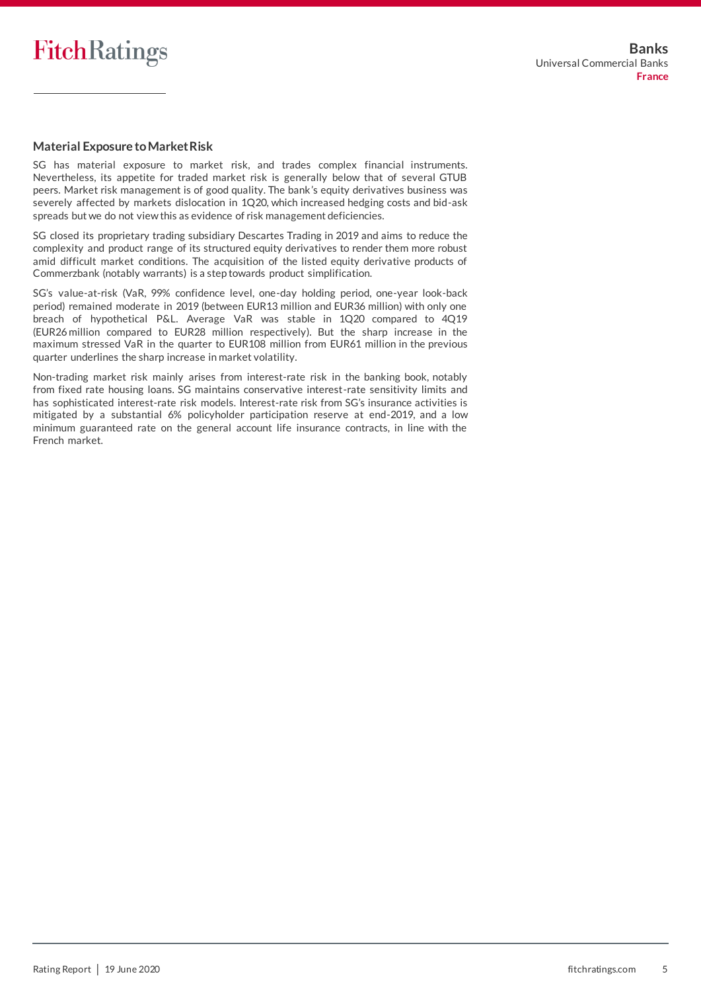

#### **Material Exposure to Market Risk**

SG has material exposure to market risk, and trades complex financial instruments. Nevertheless, its appetite for traded market risk is generally below that of several GTUB peers. Market risk management is of good quality. The bank's equity derivatives business was severely affected by markets dislocation in 1Q20, which increased hedging costs and bid-ask spreads but we do not view this as evidence of risk management deficiencies.

SG closed its proprietary trading subsidiary Descartes Trading in 2019 and aims to reduce the complexity and product range of its structured equity derivatives to render them more robust amid difficult market conditions. The acquisition of the listed equity derivative products of Commerzbank (notably warrants) is a step towards product simplification.

SG's value-at-risk (VaR, 99% confidence level, one-day holding period, one-year look-back period) remained moderate in 2019 (between EUR13 million and EUR36 million) with only one breach of hypothetical P&L. Average VaR was stable in 1Q20 compared to 4Q19 (EUR26 million compared to EUR28 million respectively). But the sharp increase in the maximum stressed VaR in the quarter to EUR108 million from EUR61 million in the previous quarter underlines the sharp increase in market volatility.

Non-trading market risk mainly arises from interest-rate risk in the banking book, notably from fixed rate housing loans. SG maintains conservative interest-rate sensitivity limits and has sophisticated interest-rate risk models. Interest-rate risk from SG's insurance activities is mitigated by a substantial 6% policyholder participation reserve at end-2019, and a low minimum guaranteed rate on the general account life insurance contracts, in line with the French market.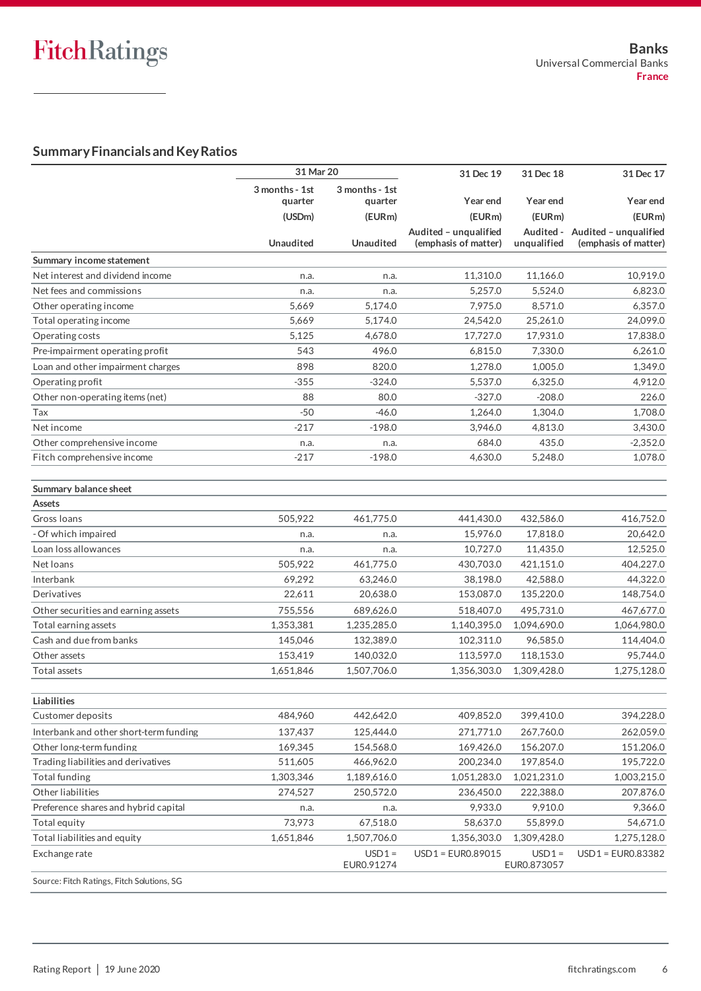## **Summary Financials and Key Ratios**

|                                            | 31 Mar 20                 |                           | 31 Dec 19                                     | 31 Dec 18                | 31 Dec 17                                     |
|--------------------------------------------|---------------------------|---------------------------|-----------------------------------------------|--------------------------|-----------------------------------------------|
|                                            | 3 months - 1st<br>quarter | 3 months - 1st<br>quarter | Year end                                      | Year end                 | <b>Year end</b>                               |
|                                            | (USDm)                    | (EURm)                    | (EURm)                                        | (EURm)                   | (EURm)                                        |
|                                            | <b>Unaudited</b>          | <b>Unaudited</b>          | Audited - unqualified<br>(emphasis of matter) | Audited -<br>unqualified | Audited - unqualified<br>(emphasis of matter) |
| Summary income statement                   |                           |                           |                                               |                          |                                               |
| Net interest and dividend income           | n.a.                      | n.a.                      | 11,310.0                                      | 11,166.0                 | 10,919.0                                      |
| Net fees and commissions                   | n.a.                      | n.a.                      | 5,257.0                                       | 5,524.0                  | 6,823.0                                       |
| Other operating income                     | 5,669                     | 5,174.0                   | 7,975.0                                       | 8,571.0                  | 6,357.0                                       |
| Total operating income                     | 5.669                     | 5,174.0                   | 24,542.0                                      | 25,261.0                 | 24,099.0                                      |
| Operating costs                            | 5,125                     | 4,678.0                   | 17,727.0                                      | 17,931.0                 | 17,838.0                                      |
| Pre-impairment operating profit            | 543                       | 496.0                     | 6,815.0                                       | 7,330.0                  | 6,261.0                                       |
| Loan and other impairment charges          | 898                       | 820.0                     | 1,278.0                                       | 1,005.0                  | 1,349.0                                       |
| Operating profit                           | $-355$                    | $-324.0$                  | 5,537.0                                       | 6,325.0                  | 4,912.0                                       |
| Other non-operating items (net)            | 88                        | 80.0                      | $-327.0$                                      | $-208.0$                 | 226.0                                         |
| Tax                                        | $-50$                     | $-46.0$                   | 1,264.0                                       | 1,304.0                  | 1,708.0                                       |
| Net income                                 | $-217$                    | $-198.0$                  | 3,946.0                                       | 4,813.0                  | 3,430.0                                       |
| Other comprehensive income                 | n.a.                      | n.a.                      | 684.0                                         | 435.0                    | $-2,352.0$                                    |
| Fitch comprehensive income                 | $-217$                    | $-198.0$                  | 4,630.0                                       | 5,248.0                  | 1,078.0                                       |
| Summary balance sheet                      |                           |                           |                                               |                          |                                               |
| Assets                                     |                           |                           |                                               |                          |                                               |
| Gross Ioans                                | 505,922                   | 461,775.0                 | 441,430.0                                     | 432,586.0                | 416,752.0                                     |
| - Of which impaired                        | n.a.                      | n.a.                      | 15,976.0                                      | 17,818.0                 | 20,642.0                                      |
| Loan loss allowances                       | n.a.                      | n.a.                      | 10,727.0                                      | 11,435.0                 | 12,525.0                                      |
| Net loans                                  | 505,922                   | 461,775.0                 | 430,703.0                                     | 421,151.0                | 404,227.0                                     |
| Interbank                                  | 69,292                    | 63,246.0                  | 38,198.0                                      | 42,588.0                 | 44,322.0                                      |
| Derivatives                                | 22,611                    | 20,638.0                  | 153,087.0                                     | 135,220.0                | 148,754.0                                     |
| Other securities and earning assets        | 755,556                   | 689,626.0                 | 518,407.0                                     | 495,731.0                | 467,677.0                                     |
| Total earning assets                       | 1,353,381                 | 1,235,285.0               | 1,140,395.0                                   | 1,094,690.0              | 1,064,980.0                                   |
| Cash and due from banks                    | 145,046                   | 132,389.0                 | 102,311.0                                     | 96,585.0                 | 114,404.0                                     |
| Other assets                               | 153,419                   | 140,032.0                 | 113,597.0                                     | 118,153.0                | 95,744.0                                      |
| Total assets                               | 1,651,846                 | 1,507,706.0               | 1,356,303.0                                   | 1,309,428.0              | 1,275,128.0                                   |
| Liabilities                                |                           |                           |                                               |                          |                                               |
| Customer deposits                          | 484.960                   | 442,642.0                 | 409,852.0                                     | 399,410.0                | 394,228.0                                     |
| Interbank and other short-term funding     | 137,437                   | 125,444.0                 | 271,771.0                                     | 267,760.0                | 262,059.0                                     |
| Other long-term funding                    | 169,345                   | 154,568.0                 | 169,426.0                                     | 156,207.0                | 151,206.0                                     |
| Trading liabilities and derivatives        | 511,605                   | 466,962.0                 | 200,234.0                                     | 197,854.0                | 195,722.0                                     |
| <b>Total funding</b>                       | 1,303,346                 | 1,189,616.0               | 1,051,283.0                                   | 1,021,231.0              | 1,003,215.0                                   |
| Other liabilities                          | 274,527                   | 250,572.0                 | 236,450.0                                     | 222,388.0                | 207,876.0                                     |
| Preference shares and hybrid capital       | n.a.                      | n.a.                      | 9,933.0                                       | 9,910.0                  | 9,366.0                                       |
| Total equity                               | 73,973                    | 67,518.0                  | 58,637.0                                      | 55,899.0                 | 54,671.0                                      |
| Total liabilities and equity               | 1,651,846                 | 1,507,706.0               | 1,356,303.0                                   | 1,309,428.0              | 1,275,128.0                                   |
| Exchange rate                              |                           | $USD1 =$<br>EUR0.91274    | $USD1 = EURO.89015$                           | $USD1 =$<br>EUR0.873057  | USD1 = EUR0.83382                             |
| Source: Fitch Ratings, Fitch Solutions, SG |                           |                           |                                               |                          |                                               |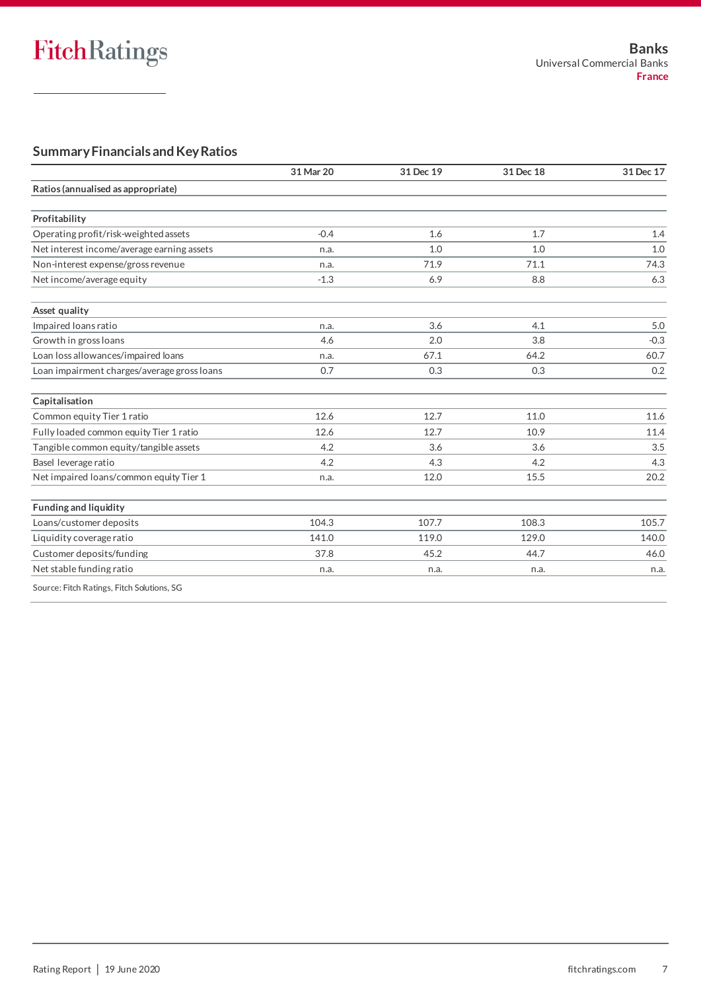## **Summary Financials and Key Ratios**

|                                             | 31 Mar 20 | 31 Dec 19 | 31 Dec 18 | 31 Dec 17 |
|---------------------------------------------|-----------|-----------|-----------|-----------|
| Ratios (annualised as appropriate)          |           |           |           |           |
| Profitability                               |           |           |           |           |
| Operating profit/risk-weighted assets       | $-0.4$    | 1.6       | 1.7       | 1.4       |
| Net interest income/average earning assets  | n.a.      | 1.0       | 1.0       | 1.0       |
| Non-interest expense/gross revenue          | n.a.      | 71.9      | 71.1      | 74.3      |
| Net income/average equity                   | $-1.3$    | 6.9       | 8.8       | 6.3       |
| Asset quality                               |           |           |           |           |
| Impaired loans ratio                        | n.a.      | 3.6       | 4.1       | 5.0       |
| Growth in gross loans                       | 4.6       | 2.0       | 3.8       | $-0.3$    |
| Loan loss allowances/impaired loans         | n.a.      | 67.1      | 64.2      | 60.7      |
| Loan impairment charges/average gross loans | 0.7       | 0.3       | 0.3       | 0.2       |
| Capitalisation                              |           |           |           |           |
| Common equity Tier 1 ratio                  | 12.6      | 12.7      | 11.0      | 11.6      |
| Fully loaded common equity Tier 1 ratio     | 12.6      | 12.7      | 10.9      | 11.4      |
| Tangible common equity/tangible assets      | 4.2       | 3.6       | 3.6       | 3.5       |
| Basel leverage ratio                        | 4.2       | 4.3       | 4.2       | 4.3       |
| Net impaired loans/common equity Tier 1     | n.a.      | 12.0      | 15.5      | 20.2      |
| <b>Funding and liquidity</b>                |           |           |           |           |
| Loans/customer deposits                     | 104.3     | 107.7     | 108.3     | 105.7     |
| Liquidity coverage ratio                    | 141.0     | 119.0     | 129.0     | 140.0     |
| Customer deposits/funding                   | 37.8      | 45.2      | 44.7      | 46.0      |
| Net stable funding ratio                    | n.a.      | n.a.      | n.a.      | n.a.      |
| Course: Eitch Datings, Eitch Colutions, CC  |           |           |           |           |

Source: Fitch Ratings, Fitch Solutions, SG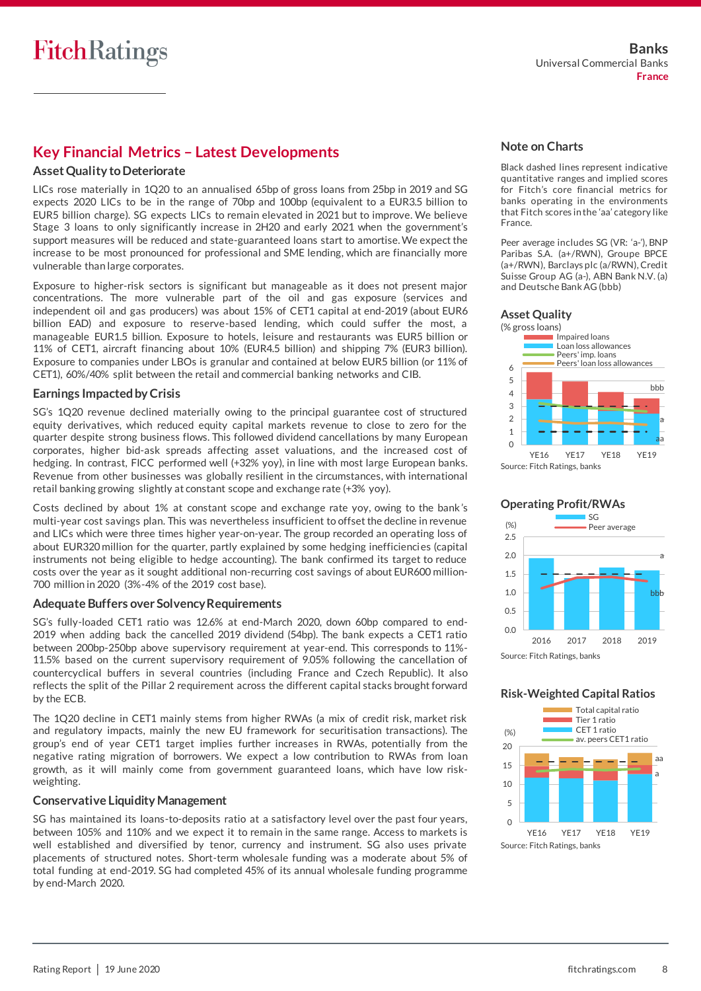## **Key Financial Metrics – Latest Developments**

## **Asset Quality to Deteriorate**

LICs rose materially in 1Q20 to an annualised 65bp of gross loans from 25bp in 2019 and SG expects 2020 LICs to be in the range of 70bp and 100bp (equivalent to a EUR3.5 billion to EUR5 billion charge). SG expects LICs to remain elevated in 2021 but to improve. We believe Stage 3 loans to only significantly increase in 2H20 and early 2021 when the government's support measures will be reduced and state-guaranteed loans start to amortise. We expect the increase to be most pronounced for professional and SME lending, which are financially more vulnerable than large corporates.

Exposure to higher-risk sectors is significant but manageable as it does not present major concentrations. The more vulnerable part of the oil and gas exposure (services and independent oil and gas producers) was about 15% of CET1 capital at end-2019 (about EUR6 billion EAD) and exposure to reserve-based lending, which could suffer the most, a manageable EUR1.5 billion. Exposure to hotels, leisure and restaurants was EUR5 billion or 11% of CET1, aircraft financing about 10% (EUR4.5 billion) and shipping 7% (EUR3 billion). Exposure to companies under LBOs is granular and contained at below EUR5 billion (or 11% of CET1), 60%/40% split between the retail and commercial banking networks and CIB.

### **Earnings Impacted by Crisis**

SG's 1Q20 revenue declined materially owing to the principal guarantee cost of structured equity derivatives, which reduced equity capital markets revenue to close to zero for the quarter despite strong business flows. This followed dividend cancellations by many European corporates, higher bid-ask spreads affecting asset valuations, and the increased cost of hedging. In contrast, FICC performed well (+32% yoy), in line with most large European banks. Revenue from other businesses was globally resilient in the circumstances, with international retail banking growing slightly at constant scope and exchange rate (+3% yoy).

Costs declined by about 1% at constant scope and exchange rate yoy, owing to the bank's multi-year cost savings plan. This was nevertheless insufficient to offset the decline in revenue and LICs which were three times higher year-on-year. The group recorded an operating loss of about EUR320 million for the quarter, partly explained by some hedging inefficiencies (capital instruments not being eligible to hedge accounting). The bank confirmed its target to reduce costs over the year as it sought additional non-recurring cost savings of about EUR600 million-700 million in 2020 (3%-4% of the 2019 cost base).

## **Adequate Buffers over Solvency Requirements**

SG's fully-loaded CET1 ratio was 12.6% at end-March 2020, down 60bp compared to end-2019 when adding back the cancelled 2019 dividend (54bp). The bank expects a CET1 ratio between 200bp-250bp above supervisory requirement at year-end. This corresponds to 11%- 11.5% based on the current supervisory requirement of 9.05% following the cancellation of countercyclical buffers in several countries (including France and Czech Republic). It also reflects the split of the Pillar 2 requirement across the different capital stacks brought forward by the ECB.

The 1Q20 decline in CET1 mainly stems from higher RWAs (a mix of credit risk, market risk and regulatory impacts, mainly the new EU framework for securitisation transactions). The group's end of year CET1 target implies further increases in RWAs, potentially from the negative rating migration of borrowers. We expect a low contribution to RWAs from loan growth, as it will mainly come from government guaranteed loans, which have low riskweighting.

### **Conservative Liquidity Management**

SG has maintained its loans-to-deposits ratio at a satisfactory level over the past four years, between 105% and 110% and we expect it to remain in the same range. Access to markets is well established and diversified by tenor, currency and instrument. SG also uses private placements of structured notes. Short-term wholesale funding was a moderate about 5% of total funding at end-2019. SG had completed 45% of its annual wholesale funding programme by end-March 2020.

## **Note on Charts**

Black dashed lines represent indicative quantitative ranges and implied scores for Fitch's core financial metrics for banks operating in the environments that Fitch scores in the 'aa' category like France.

Peer average includes SG (VR: 'a-'), BNP Paribas S.A. (a+/RWN), Groupe BPCE (a+/RWN), Barclays plc (a/RWN), Credit Suisse Group AG (a-), ABN Bank N.V. (a) and Deutsche Bank AG (bbb)







## **Risk-Weighted Capital Ratios**

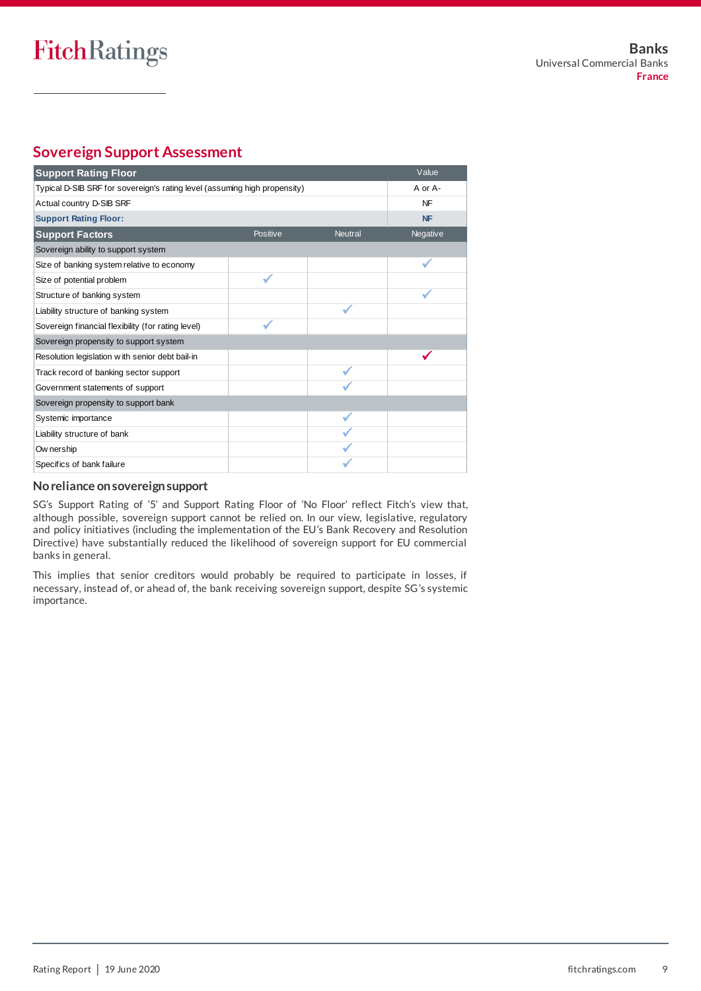## **Sovereign Support Assessment**

| <b>Support Rating Floor</b>                                               |          |                | Value     |
|---------------------------------------------------------------------------|----------|----------------|-----------|
| Typical D-SIB SRF for sovereign's rating level (assuming high propensity) | A or A-  |                |           |
| Actual country D-SIB SRF                                                  |          |                | <b>NF</b> |
| <b>Support Rating Floor:</b>                                              |          |                | <b>NF</b> |
| <b>Support Factors</b>                                                    | Positive | <b>Neutral</b> | Negative  |
| Sovereign ability to support system                                       |          |                |           |
| Size of banking system relative to economy                                |          |                |           |
| Size of potential problem                                                 |          |                |           |
| Structure of banking system                                               |          |                |           |
| Liability structure of banking system                                     |          |                |           |
| Sovereign financial flexibility (for rating level)                        |          |                |           |
| Sovereign propensity to support system                                    |          |                |           |
| Resolution legislation with senior debt bail-in                           |          |                |           |
| Track record of banking sector support                                    |          |                |           |
| Government statements of support                                          |          |                |           |
| Sovereign propensity to support bank                                      |          |                |           |
| Systemic importance                                                       |          |                |           |
| Liability structure of bank                                               |          |                |           |
| Ow nership                                                                |          |                |           |
| Specifics of bank failure                                                 |          |                |           |

## **No reliance on sovereign support**

SG's Support Rating of '5' and Support Rating Floor of 'No Floor' reflect Fitch's view that, although possible, sovereign support cannot be relied on. In our view, legislative, regulatory and policy initiatives (including the implementation of the EU's Bank Recovery and Resolution Directive) have substantially reduced the likelihood of sovereign support for EU commercial banks in general.

This implies that senior creditors would probably be required to participate in losses, if necessary, instead of, or ahead of, the bank receiving sovereign support, despite SG's systemic importance.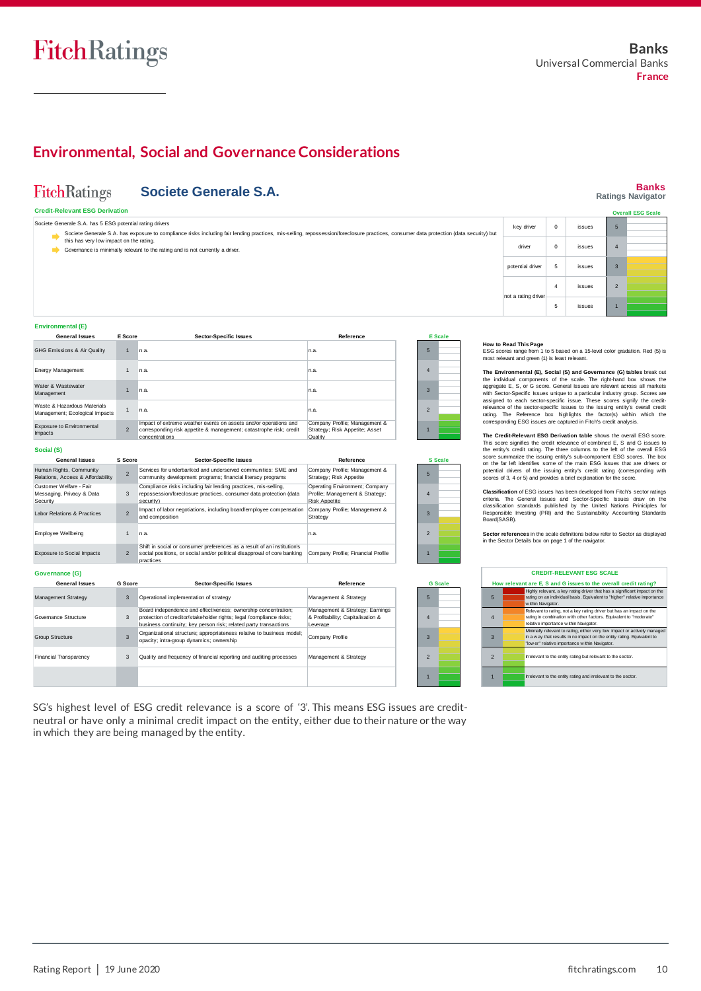## FitchRatings

## **Environmental, Social and Governance Considerations**

#### **Banks FitchRatings Societe Generale S.A. Ratings Navigator Credit-Relevant ESG Derivation Overall ESG Scale** Societe Generale S.A. has 5 ESG potential rating drivers 5 key driver 0 issues Societe Generale S.A. has exposure to compliance risks including fair lending practices, mis-selling, repossession/foreclosure practices, consumer data protection (data security) but this has very low impact on the rating. driver 0 issues 4 Governance is minimally relevant to the rating and is not currently a driver. potential driver 5 issues 3 For a rating driver<br>
ESG scores range from 1 to 5 based on a 15-level color gradation. Red (5) is<br>
ESG scores range from 1 to 5 based on a 15-level color gradation. Red (5) is<br>
The street and green (1) is least relevant. 4 issues 2 ot a rating d 5 issues 1 How to Read This Page<br>
ESC scores range from 1 to 5 based on a 15-level color gradation. Red (5) is<br>
ESC scores range from 1 to 5 based on a 15-level color gradation. Red (5) is<br>
The Environmental (E), Social (S) and Gover **Environmental (E) General Issues E Score Sector-Specific Issues Reference E Scale How to Read This Page** GHG Emissions & Air Quality 1 n.a. n.a. 5 Energy Management 4 n.a. n.a. 1 **The Environmental (E), Social (S) and Governance (G) tables** break out the individual components of the scale. The right-hand box shows the The Environmental (E), Social (S) and Governance (G) tables break out<br>the individual components of the scale. The right-hand box shows the<br>entity-score signifies the credit score. General issues are relevant across all mar Water & Wastewater 3 1 n.a. n.a. Waste & Hazardous Materials Management; Ecological Impacts 1 2 n.a. n.a. rating. The Reference box highlights the factor(s) within which the Impact of extreme weather events on assets and/or operations and sponding ESG issues are captured in Fitch's credit analysis. Exposure to Environmental Company Profile; Management & Strategy; Risk Appetite; Asset Quality 2 1 corresponding risk appetite & management; catastrophe risk; credit **The Credit-Relevant ESG Derivation table** shows the overall ESG score. This score signifies the credit relevance of combined E, S and G issues to the entity's credit rating. The three columns to the left of the overall ES Impacts concentrations **Social (S)** score summarize the issuing entity's sub-component ESG scores. The box **General Issues S Score Sector-Specific Issues Reference S Scale** on the far left identifies some of the main ESG issues that are drivers or potential drivers of the issuing entity's credit rating (corresponding with scores of 3, 4 or 5) and provides a brief explanation for the score. Human Rights, Community Services for underbanked and underserved communities: SME and Company Profile; Management &  $\overline{2}$ 5 Relations, Access & Affordability community development programs; financial literacy programs Strategy: Risk Appetite Compliance risks including fair lending practices, mis-selling, Operating Environment; Company Customer Welfare - Fair Messaging, Privacy & Data Profile; Management & Strategy; **Classification** of ESG issues has been developed from Fitch's sector ratings oriteria. The General Issues and Sector-Specific Issues draw on the classification standards published by the United Nations Principles for Resp 3 repossession/foreclosure practices, consumer data protection (data Profile; Management & Strategy; | 4 security) Risk Appetite **Security** Impact of labor negotiations, including board/employee compensation Company Profile; Management & Labor Relations & Practices 2 3 and composition **Strategy** Board(SASB). Employee Wellbeing 1 n.a. 2 **Sector references** in the scale definitions below refer to Sector as displayed in the Sector Details box on page 1 of the pairator. n.a. in the Sector Details box on page 1 of the navigator. Shift in social or consumer preferences as a result of an institution's we start of page<br>CREDIT-RI<br>t are E, S and<br>Highly relevant, a<br>mating in combination at the start<br>Rating in combination Exposure to Social Impacts Company Profile; Financial Profile 2 social positions, or social and/or political disapproval of core banking Company Profile; Financial Profile | 1 practices **CREDIT-RELEVANT ESG SCALE**<br> **And SCALE 1999** relationships to the overall credit rating?<br>
Highly relevant, a key rating diver that that a significant impact on the<br>
rating on an individual basis. Equivalent to "higher" re **Governance (G) CREDIT-RELEVANT ESG SCALE General Issues G Score Sector-Specific Issues Reference G Scale How relevant are E, S and G issues to the overall credit rating?**<br>Highly relevant, a key rating driver that has a significant impact on the **rational of the set of the set of th**<br>**1999 - The set of the set of the set of t** Operational implementation of strategy Management Strategy 3 Management & Strategy 5 5 within Navigator.<br>Relevant to rating, not a key rating driver but has an impact on the<br>rating in combination with other factors. Equivalent to "moderate" Board independence and effectiveness; ownership concentration; protection of creditor/stakeholder rights; legal /compliance risks; Management & Strategy; Earnings & Profitability; Capitalisation & business continuity; key person risk; related party transactions<br>business continuity; key person risk; related party transactions Governance Structure 3 4 4 Leverage Group Structure 3 Organizational structure; appropriateness relative to business model; opacity; intra-group dynamics; ownership Company Profile 3 3 Financial Transparency 3 Quality and frequency of financial reporting and auditing processes Management & Strategy 2 **2 If all all all all all entity rating but relevant to the sector** 1 1 **If Irrelevant to the entity rating and irrelevant to the sector**

SG's highest level of ESG credit relevance is a score of '3'. This means ESG issues are creditneutral or have only a minimal credit impact on the entity, either due to their nature or the way in which they are being managed by the entity.